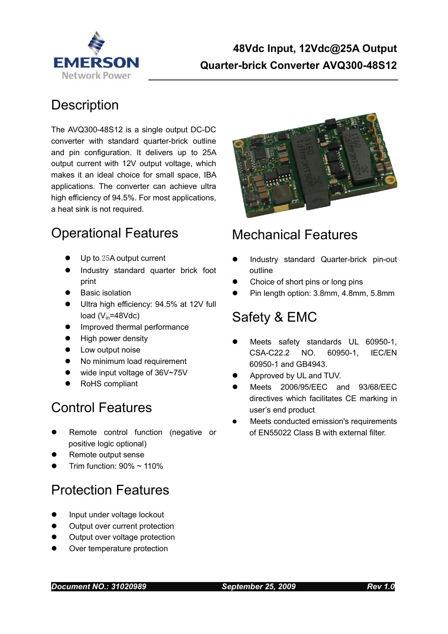

### **Description**

The AVQ300-48S12 is a single output DC-DC converter with standard quarter-brick outline and pin configuration. It delivers up to 25A output current with 12V output voltage, which makes it an ideal choice for small space, IBA applications. The converter can achieve ultra high efficiency of 94.5%. For most applications, a heat sink is not required.

## Operational Features

- Up to 25A output current
- Industry standard quarter brick foot print
- **•** Basic isolation
- Ultra high efficiency: 94.5% at 12V full load  $(V_{in} = 48Vdc)$
- **•** Improved thermal performance
- **•** High power density
- **•** Low output noise
- No minimum load requirement
- wide input voltage of 36V~75V
- RoHS compliant

## Control Features

- Remote control function (negative or positive logic optional)
- Remote output sense
- Trim function:  $90\% \sim 110\%$

## Protection Features

- Input under voltage lockout
- Output over current protection
- Output over voltage protection
- Over temperature protection



## Mechanical Features

- Industry standard Quarter-brick pin-out outline
- Choice of short pins or long pins
- Pin length option: 3.8mm, 4.8mm, 5.8mm

## Safety & EMC

- Meets safety standards UL 60950-1, CSA-C22.2 NO. 60950-1, IEC/EN 60950-1 and GB4943.
- Approved by UL and TUV.
- Meets 2006/95/EEC and 93/68/EEC directives which facilitates CE marking in user's end product
- Meets conducted emission's requirements of EN55022 Class B with external filter.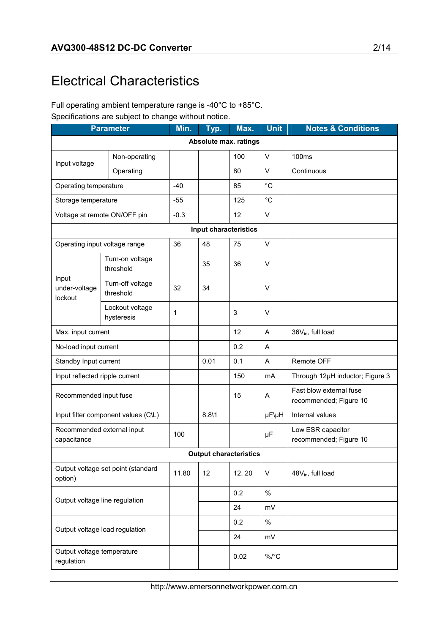# Electrical Characteristics

#### Full operating ambient temperature range is -40°C to +85°C. Specifications are subject to change without notice.

| <b>Parameter</b>                              |                                     | Min.         | Typ.                  | Max.                          | <b>Unit</b> | <b>Notes &amp; Conditions</b>                     |
|-----------------------------------------------|-------------------------------------|--------------|-----------------------|-------------------------------|-------------|---------------------------------------------------|
|                                               |                                     |              |                       | Absolute max. ratings         |             |                                                   |
|                                               | Non-operating                       |              |                       | 100                           | $\vee$      | 100ms                                             |
| Input voltage                                 | Operating                           |              |                       | 80                            | V           | Continuous                                        |
| Operating temperature                         |                                     | $-40$        |                       | 85                            | $^{\circ}C$ |                                                   |
| Storage temperature                           |                                     | $-55$        |                       | 125                           | $^{\circ}C$ |                                                   |
|                                               | Voltage at remote ON/OFF pin        | $-0.3$       |                       | 12                            | $\vee$      |                                                   |
|                                               |                                     |              | Input characteristics |                               |             |                                                   |
| Operating input voltage range                 |                                     | 36           | 48                    | 75                            | V           |                                                   |
|                                               | Turn-on voltage<br>threshold        |              | 35                    | 36                            | V           |                                                   |
| Input<br>under-voltage<br>lockout             | Turn-off voltage<br>threshold       | 32           | 34                    |                               | $\vee$      |                                                   |
|                                               | Lockout voltage<br>hysteresis       | $\mathbf{1}$ |                       | 3                             | V           |                                                   |
| Max. input current                            |                                     |              |                       | 12                            | A           | 36V <sub>in</sub> , full load                     |
| No-load input current                         |                                     |              |                       | 0.2                           | A           |                                                   |
| Standby Input current                         |                                     |              | 0.01                  | 0.1                           | A           | <b>Remote OFF</b>                                 |
| Input reflected ripple current                |                                     |              |                       | 150                           | mA          | Through 12µH inductor; Figure 3                   |
| Recommended input fuse                        |                                     |              |                       | 15                            | Α           | Fast blow external fuse<br>recommended; Figure 10 |
|                                               | Input filter component values (C\L) |              | 8.811                 |                               | µF\µH       | Internal values                                   |
| Recommended external input<br>capacitance     |                                     | 100          |                       |                               | μF          | Low ESR capacitor<br>recommended; Figure 10       |
|                                               |                                     |              |                       | <b>Output characteristics</b> |             |                                                   |
| Output voltage set point (standard<br>option) |                                     | 11.80        | 12                    | 12.20                         | V           | 48V <sub>in</sub> , full load                     |
|                                               |                                     |              |                       | 0.2                           | $\%$        |                                                   |
| Output voltage line regulation                |                                     |              |                       | 24                            | mV          |                                                   |
| Output voltage load regulation                |                                     |              |                       | 0.2                           | $\%$        |                                                   |
|                                               |                                     |              |                       | 24                            | mV          |                                                   |
| Output voltage temperature<br>regulation      |                                     |              |                       | 0.02                          | $\%$ /°C    |                                                   |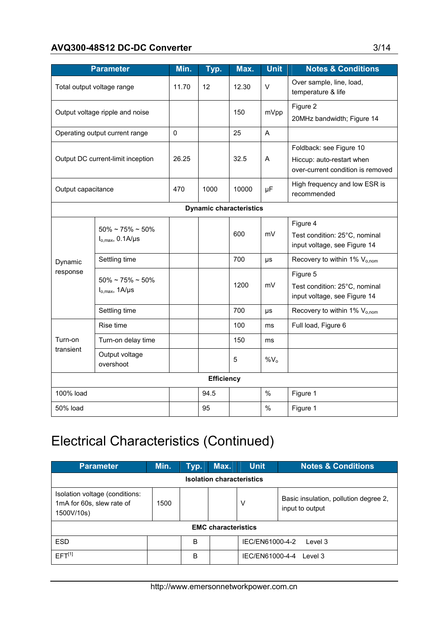#### AVQ300-48S12 DC-DC Converter 3/14

|                                   | <b>Parameter</b>                                  | Min.  | Typ.                           | Max.  | <b>Unit</b> | <b>Notes &amp; Conditions</b>                                                             |
|-----------------------------------|---------------------------------------------------|-------|--------------------------------|-------|-------------|-------------------------------------------------------------------------------------------|
| Total output voltage range        |                                                   | 11.70 | $12 \overline{ }$              | 12.30 | $\vee$      | Over sample, line, load,<br>temperature & life                                            |
| Output voltage ripple and noise   |                                                   |       |                                | 150   | mVpp        | Figure 2<br>20MHz bandwidth; Figure 14                                                    |
| Operating output current range    |                                                   | 0     |                                | 25    | A           |                                                                                           |
| Output DC current-limit inception |                                                   | 26.25 |                                | 32.5  | A           | Foldback: see Figure 10<br>Hiccup: auto-restart when<br>over-current condition is removed |
| Output capacitance                |                                                   | 470   | 1000                           | 10000 | μF          | High frequency and low ESR is<br>recommended                                              |
|                                   |                                                   |       | <b>Dynamic characteristics</b> |       |             |                                                                                           |
| Dynamic<br>response               | $50\%$ ~ 75% ~ 50%<br>$I_{o,max}$ , 0.1A/ $\mu$ s |       |                                | 600   | mV          | Figure 4<br>Test condition: 25°C, nominal<br>input voltage, see Figure 14                 |
|                                   | Settling time                                     |       |                                | 700   | μs          | Recovery to within 1% $V_{o,nom}$                                                         |
|                                   | $50\%$ ~ 75% ~ 50%<br>$I_{o,max}$ , 1A/ $\mu$ s   |       |                                | 1200  | mV          | Figure 5<br>Test condition: 25°C, nominal<br>input voltage, see Figure 14                 |
|                                   | Settling time                                     |       |                                | 700   | μs          | Recovery to within 1% V <sub>o.nom</sub>                                                  |
|                                   | Rise time                                         |       |                                | 100   | ms          | Full load, Figure 6                                                                       |
| Turn-on                           | Turn-on delay time                                |       |                                | 150   | ms          |                                                                                           |
| transient                         | Output voltage<br>overshoot                       |       |                                | 5     | $\%V_{o}$   |                                                                                           |
|                                   |                                                   |       | <b>Efficiency</b>              |       |             |                                                                                           |
| 100% load                         |                                                   |       | 94.5                           |       | $\%$        | Figure 1                                                                                  |
| 50% load                          |                                                   |       | 95                             |       | $\%$        | Figure 1                                                                                  |

# Electrical Characteristics (Continued)

| <b>Parameter</b>                                                          | Min.                       | Typ. | Max. | <b>Unit</b>                | <b>Notes &amp; Conditions</b>                            |  |  |  |
|---------------------------------------------------------------------------|----------------------------|------|------|----------------------------|----------------------------------------------------------|--|--|--|
| <b>Isolation characteristics</b>                                          |                            |      |      |                            |                                                          |  |  |  |
| Isolation voltage (conditions:<br>1mA for 60s, slew rate of<br>1500V/10s) | 1500                       |      |      | v                          | Basic insulation, pollution degree 2,<br>input to output |  |  |  |
|                                                                           | <b>EMC characteristics</b> |      |      |                            |                                                          |  |  |  |
| <b>ESD</b>                                                                |                            | B    |      | IEC/EN61000-4-2<br>Level 3 |                                                          |  |  |  |
| EFT <sup>[1]</sup>                                                        |                            | B    |      | IEC/EN61000-4-4<br>Level 3 |                                                          |  |  |  |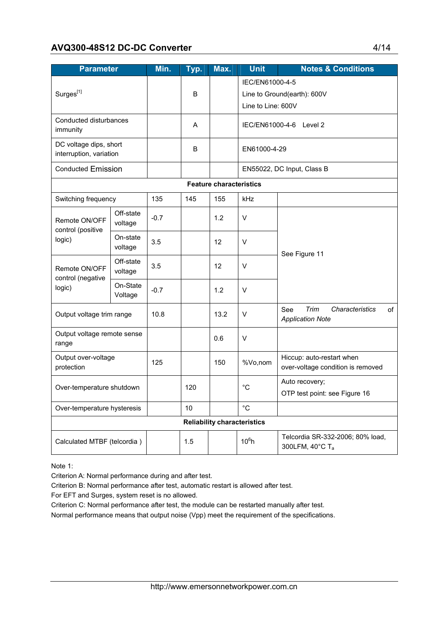#### AVQ300-48S12 DC-DC Converter 4/14

| <b>Parameter</b>                                  |                                    | Min.   | Typ. | Max.                           | <b>Unit</b>                 | <b>Notes &amp; Conditions</b>                                   |  |  |
|---------------------------------------------------|------------------------------------|--------|------|--------------------------------|-----------------------------|-----------------------------------------------------------------|--|--|
|                                                   |                                    |        |      |                                | IEC/EN61000-4-5             |                                                                 |  |  |
| Surges <sup>[1]</sup>                             |                                    |        | B    |                                | Line to Ground(earth): 600V |                                                                 |  |  |
|                                                   |                                    |        |      |                                | Line to Line: 600V          |                                                                 |  |  |
| Conducted disturbances<br>immunity                |                                    |        | Α    |                                | IEC/EN61000-4-6             | Level 2                                                         |  |  |
| DC voltage dips, short<br>interruption, variation |                                    |        | B    |                                | EN61000-4-29                |                                                                 |  |  |
| <b>Conducted Emission</b>                         |                                    |        |      |                                |                             | EN55022, DC Input, Class B                                      |  |  |
|                                                   |                                    |        |      | <b>Feature characteristics</b> |                             |                                                                 |  |  |
| Switching frequency                               |                                    | 135    | 145  | 155                            | kHz                         |                                                                 |  |  |
| Remote ON/OFF<br>control (positive                | Off-state<br>voltage               | $-0.7$ |      | 1.2                            | $\vee$                      |                                                                 |  |  |
| logic)                                            | On-state<br>voltage                | 3.5    |      | 12                             | $\vee$                      | See Figure 11                                                   |  |  |
| Remote ON/OFF<br>control (negative                | Off-state<br>voltage               | 3.5    |      | 12                             | $\vee$                      |                                                                 |  |  |
| logic)                                            | On-State<br>Voltage                | $-0.7$ |      | 1.2                            | $\vee$                      |                                                                 |  |  |
| Output voltage trim range                         |                                    | 10.8   |      | 13.2                           | V                           | Trim<br>See<br>Characteristics<br>of<br><b>Application Note</b> |  |  |
| Output voltage remote sense<br>range              |                                    |        |      | 0.6                            | V                           |                                                                 |  |  |
| Output over-voltage<br>protection                 |                                    | 125    |      | 150                            | %Vo,nom                     | Hiccup: auto-restart when<br>over-voltage condition is removed  |  |  |
| Over-temperature shutdown                         |                                    |        | 120  |                                | $^{\circ}C$                 | Auto recovery;<br>OTP test point: see Figure 16                 |  |  |
| Over-temperature hysteresis                       |                                    |        | 10   |                                | $^{\circ}C$                 |                                                                 |  |  |
|                                                   | <b>Reliability characteristics</b> |        |      |                                |                             |                                                                 |  |  |
| Calculated MTBF (telcordia)                       |                                    |        | 1.5  |                                | $10^6 h$                    | Telcordia SR-332-2006; 80% load,<br>300LFM, 40°C Ta             |  |  |

Note 1:

Criterion A: Normal performance during and after test.

Criterion B: Normal performance after test, automatic restart is allowed after test.

For EFT and Surges, system reset is no allowed.

Criterion C: Normal performance after test, the module can be restarted manually after test.

Normal performance means that output noise (Vpp) meet the requirement of the specifications.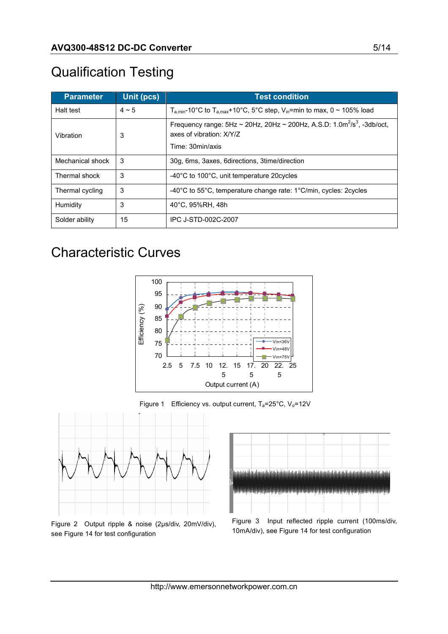# Qualification Testing

| <b>Parameter</b> | Unit (pcs) | <b>Test condition</b>                                                                                                                     |
|------------------|------------|-------------------------------------------------------------------------------------------------------------------------------------------|
| Halt test        | $4 \sim 5$ | $T_{a,min}$ -10°C to $T_{a,max}$ +10°C, 5°C step, V <sub>in</sub> =min to max, 0 ~ 105% load                                              |
| Vibration        | 3          | Frequency range: $5Hz \sim 20Hz$ , $20Hz \sim 200Hz$ , A.S.D: $1.0m^2/s^3$ , $-3db/oct$ ,<br>axes of vibration: X/Y/Z<br>Time: 30min/axis |
| Mechanical shock | 3          | 30g, 6ms, 3axes, 6directions, 3time/direction                                                                                             |
| Thermal shock    | 3          | -40°C to 100°C, unit temperature 20 cycles                                                                                                |
| Thermal cycling  | 3          | -40°C to 55°C, temperature change rate: 1°C/min, cycles: 2cycles                                                                          |
| Humidity         | 3          | 40°C, 95%RH, 48h                                                                                                                          |
| Solder ability   | 15         | IPC J-STD-002C-2007                                                                                                                       |

## Characteristic Curves







Figure 2 Output ripple & noise (2µs/div, 20mV/div), see Figure 14 for test configuration



10mA/div), see Figure 14 for test configuration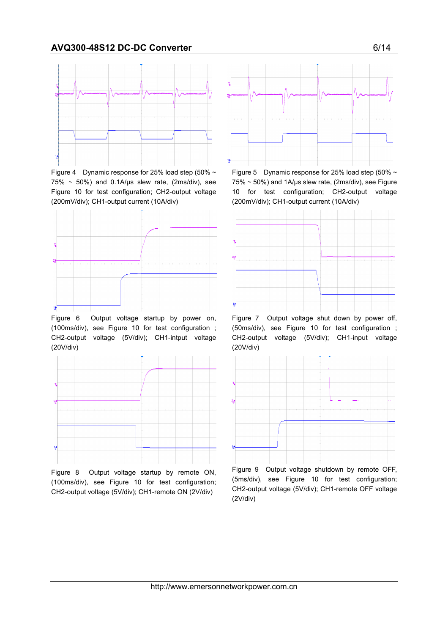

Figure 4 Dynamic response for 25% load step (50%  $\sim$  $75\% \sim 50\%$ ) and 0.1A/us slew rate, (2ms/div), see Figure 10 for test configuration; CH2-output voltage (200mV/div); CH1-output current (10A/div)



Figure 6 Output voltage startup by power on, (100ms/div), see Figure 10 for test configuration ; CH2-output voltage (5V/div); CH1-intput voltage (20V/div)



Figure 8 Output voltage startup by remote ON, (100ms/div), see Figure 10 for test configuration; CH2-output voltage (5V/div); CH1-remote ON (2V/div)



Figure 5 Dynamic response for 25% load step (50%  $\sim$  $75\% \sim 50\%$ ) and 1A/µs slew rate, (2ms/div), see Figure 10 for test configuration; CH2-output voltage (200mV/div); CH1-output current (10A/div)



Figure 7 Output voltage shut down by power off, (50ms/div), see Figure 10 for test configuration ; CH2-output voltage (5V/div); CH1-input voltage (20V/div)



Figure 9 Output voltage shutdown by remote OFF, (5ms/div), see Figure 10 for test configuration; CH2-output voltage (5V/div); CH1-remote OFF voltage (2V/div)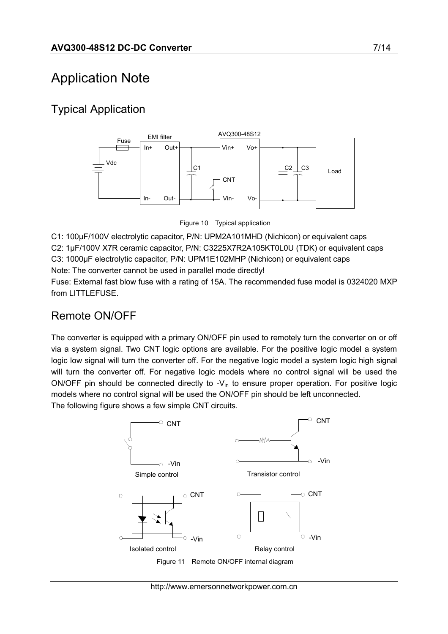# Application Note

### Typical Application



Figure 10 Typical application

C1: 100µF/100V electrolytic capacitor, P/N: UPM2A101MHD (Nichicon) or equivalent caps C2: 1µF/100V X7R ceramic capacitor, P/N: C3225X7R2A105KT0L0U (TDK) or equivalent caps C3: 1000µF electrolytic capacitor, P/N: UPM1E102MHP (Nichicon) or equivalent caps Note: The converter cannot be used in parallel mode directly!

Fuse: External fast blow fuse with a rating of 15A. The recommended fuse model is 0324020 MXP from LITTLEFUSE.

### Remote ON/OFF

The converter is equipped with a primary ON/OFF pin used to remotely turn the converter on or off via a system signal. Two CNT logic options are available. For the positive logic model a system logic low signal will turn the converter off. For the negative logic model a system logic high signal will turn the converter off. For negative logic models where no control signal will be used the ON/OFF pin should be connected directly to  $-V_{in}$  to ensure proper operation. For positive logic models where no control signal will be used the ON/OFF pin should be left unconnected. The following figure shows a few simple CNT circuits.

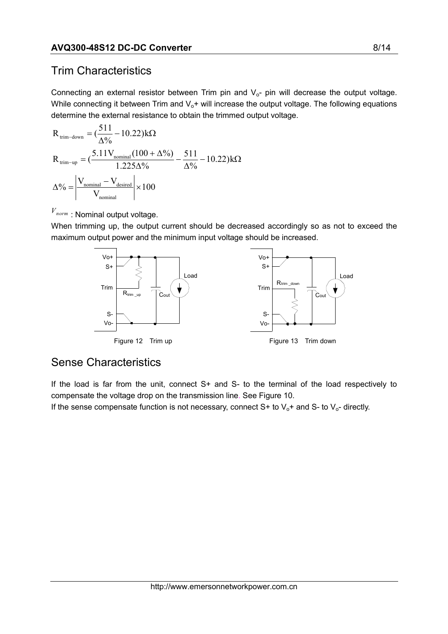### Trim Characteristics

Connecting an external resistor between Trim pin and  $V<sub>o</sub>$ - pin will decrease the output voltage. While connecting it between Trim and  $V_0$ + will increase the output voltage. The following equations determine the external resistance to obtain the trimmed output voltage.

$$
R_{\text{trim-down}} = \left(\frac{511}{\Delta\%} - 10.22\right)k\Omega
$$
  
\n
$$
R_{\text{trim-up}} = \left(\frac{5.11V_{\text{nominal}}(100 + \Delta\%)}{1.225\Delta\%} - \frac{511}{\Delta\%} - 10.22\right)k\Omega
$$
  
\n
$$
\Delta\% = \left|\frac{V_{\text{nominal}} - V_{\text{desired}}}{V_{\text{nominal}}}\right| \times 100
$$

 $V_{\textit{norm}}$ : Nominal output voltage.

When trimming up, the output current should be decreased accordingly so as not to exceed the maximum output power and the minimum input voltage should be increased.



### Sense Characteristics

If the load is far from the unit, connect  $S<sup>+</sup>$  and  $S<sup>-</sup>$  to the terminal of the load respectively to compensate the voltage drop on the transmission line. See Figure 10.

If the sense compensate function is not necessary, connect S+ to  $V_0$ + and S- to  $V_0$ - directly.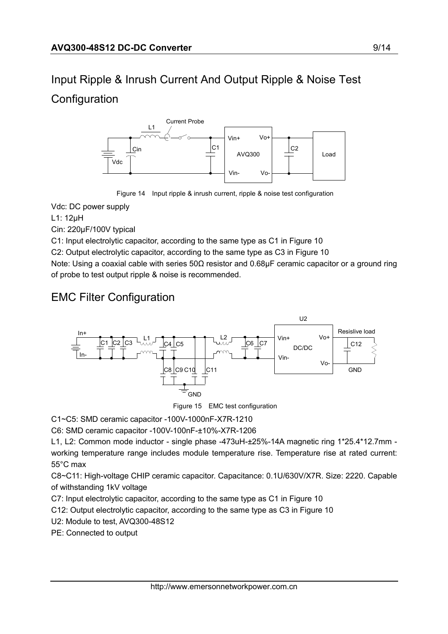# Input Ripple & Inrush Current And Output Ripple & Noise Test **Configuration**



Figure 14 Input ripple & inrush current, ripple & noise test configuration

Vdc: DC power supply

L1: 12µH

Cin: 220µF/100V typical

C1: Input electrolytic capacitor, according to the same type as C1 in Figure 10

C2: Output electrolytic capacitor, according to the same type as C3 in Figure 10

Note: Using a coaxial cable with series 50Ω resistor and 0.68µF ceramic capacitor or a ground ring of probe to test output ripple & noise is recommended.

### EMC Filter Configuration



Figure 15 EMC test configuration

C1~C5: SMD ceramic capacitor -100V-1000nF-X7R-1210

C6: SMD ceramic capacitor -100V-100nF-±10%-X7R-1206

L1, L2: Common mode inductor - single phase -473uH-±25%-14A magnetic ring 1\*25.4\*12.7mm working temperature range includes module temperature rise. Temperature rise at rated current: 55°C max

C8~C11: High-voltage CHIP ceramic capacitor. Capacitance: 0.1U/630V/X7R. Size: 2220. Capable of withstanding 1kV voltage

C7: Input electrolytic capacitor, according to the same type as C1 in Figure 10

C12: Output electrolytic capacitor, according to the same type as C3 in Figure 10

U2: Module to test, AVQ300-48S12

PE: Connected to output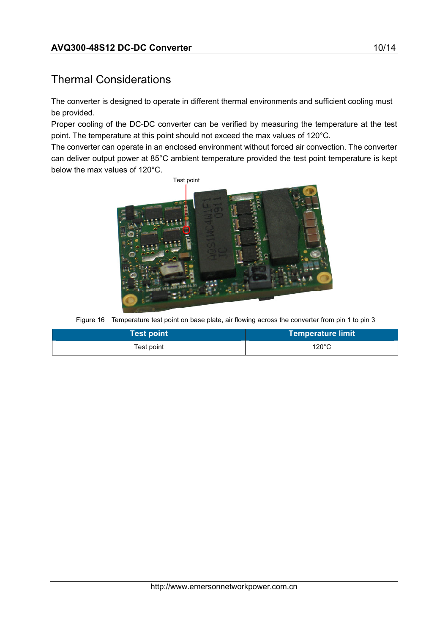### Thermal Considerations

The converter is designed to operate in different thermal environments and sufficient cooling must be provided.

Proper cooling of the DC-DC converter can be verified by measuring the temperature at the test point. The temperature at this point should not exceed the max values of 120°C.

The converter can operate in an enclosed environment without forced air convection. The converter can deliver output power at 85°C ambient temperature provided the test point temperature is kept below the max values of 120°C.



Figure 16 Temperature test point on base plate, air flowing across the converter from pin 1 to pin 3

| <b>Test point</b> | ∣Temperature limit <sup>।</sup> |
|-------------------|---------------------------------|
| Test point        | $120^{\circ}$ C                 |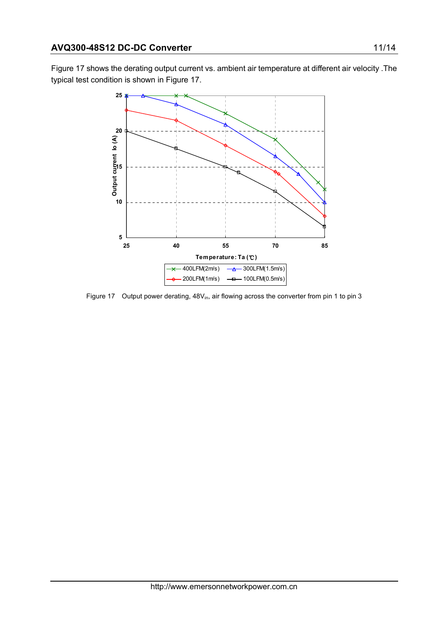Figure 17 shows the derating output current vs. ambient air temperature at different air velocity .The typical test condition is shown in Figure 17.



Figure 17 Output power derating, 48V<sub>in</sub>, air flowing across the converter from pin 1 to pin 3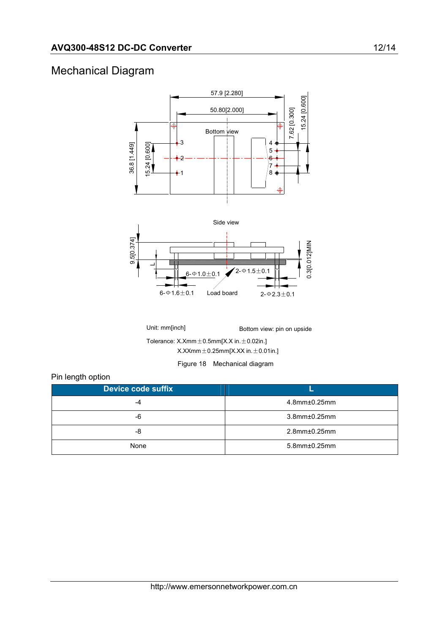### Mechanical Diagram



Unit: mm[inch] Bottom view: pin on upside Tolerance:  $X.Xmm \pm 0.5mm[X.X in. \pm 0.02in.]$  $X.XXmm \pm 0.25mm[X.XX in. \pm 0.01in.]$ 

Figure 18 Mechanical diagram

#### Pin length option

| <b>Device code suffix</b> |                        |
|---------------------------|------------------------|
| -4                        | $4.8$ mm $\pm 0.25$ mm |
| -6                        | 3.8mm±0.25mm           |
| -8                        | $2.8$ mm $\pm 0.25$ mm |
| None                      | 5.8mm±0.25mm           |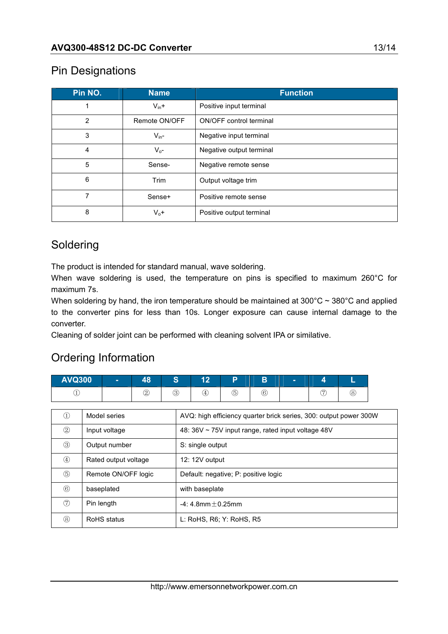#### Pin Designations

| Pin NO.        | <b>Name</b>   | <b>Function</b>                |
|----------------|---------------|--------------------------------|
|                | $V_{in}+$     | Positive input terminal        |
| $\overline{2}$ | Remote ON/OFF | <b>ON/OFF</b> control terminal |
| 3              | $V_{in}$ -    | Negative input terminal        |
| 4              | $V_{0}$ -     | Negative output terminal       |
| 5              | Sense-        | Negative remote sense          |
| 6              | Trim          | Output voltage trim            |
| 7              | Sense+        | Positive remote sense          |
| 8              | $V_0 +$       | Positive output terminal       |

### Soldering

The product is intended for standard manual, wave soldering.

When wave soldering is used, the temperature on pins is specified to maximum 260°C for maximum 7s.

When soldering by hand, the iron temperature should be maintained at  $300^{\circ}$ C ~  $380^{\circ}$ C and applied to the converter pins for less than 10s. Longer exposure can cause internal damage to the converter.

Cleaning of solder joint can be performed with cleaning solvent IPA or similative.

### Ordering Information

| <b>AVQ300</b> | п | 48 | $\bullet$<br>ъ, | $\overline{A}$<br>. . | D           | B             |        |   |
|---------------|---|----|-----------------|-----------------------|-------------|---------------|--------|---|
| <b>.</b>      |   | 2  | (3)<br>◡        | $\overline{4}$        | $\circledS$ | $\widehat{6}$ | G<br>◡ | o |

| $\left(1\right)$ | Model series         | AVQ: high efficiency quarter brick series, 300: output power 300W |
|------------------|----------------------|-------------------------------------------------------------------|
| 2                | Input voltage        | 48: 36V ~ 75V input range, rated input voltage 48V                |
| ③                | Output number        | S: single output                                                  |
| $^{\circledA}$   | Rated output voltage | 12: 12V output                                                    |
| $\circledS$      | Remote ON/OFF logic  | Default: negative; P: positive logic                              |
| $\circledR$      | baseplated           | with baseplate                                                    |
| (7)              | Pin length           | $-4:4.8$ mm $+0.25$ mm                                            |
| (8)              | RoHS status          | L: RoHS, R6; Y: RoHS, R5                                          |